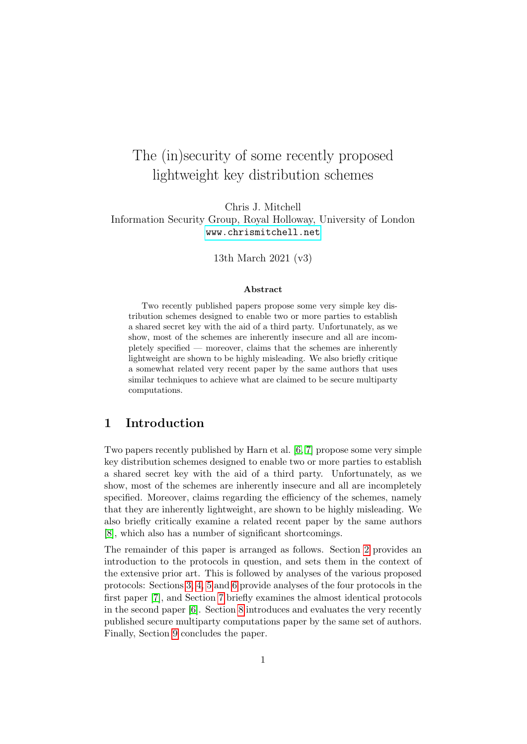# The (in)security of some recently proposed lightweight key distribution schemes

# Chris J. Mitchell Information Security Group, Royal Holloway, University of London <www.chrismitchell.net>

13th March 2021 (v3)

#### Abstract

Two recently published papers propose some very simple key distribution schemes designed to enable two or more parties to establish a shared secret key with the aid of a third party. Unfortunately, as we show, most of the schemes are inherently insecure and all are incompletely specified — moreover, claims that the schemes are inherently lightweight are shown to be highly misleading. We also briefly critique a somewhat related very recent paper by the same authors that uses similar techniques to achieve what are claimed to be secure multiparty computations.

### 1 Introduction

Two papers recently published by Harn et al. [\[6,](#page-16-0) [7\]](#page-16-1) propose some very simple key distribution schemes designed to enable two or more parties to establish a shared secret key with the aid of a third party. Unfortunately, as we show, most of the schemes are inherently insecure and all are incompletely specified. Moreover, claims regarding the efficiency of the schemes, namely that they are inherently lightweight, are shown to be highly misleading. We also briefly critically examine a related recent paper by the same authors [\[8\]](#page-16-2), which also has a number of significant shortcomings.

The remainder of this paper is arranged as follows. Section [2](#page-1-0) provides an introduction to the protocols in question, and sets them in the context of the extensive prior art. This is followed by analyses of the various proposed protocols: Sections [3,](#page-2-0) [4,](#page-6-0) [5](#page-7-0) and [6](#page-8-0) provide analyses of the four protocols in the first paper [\[7\]](#page-16-1), and Section [7](#page-12-0) briefly examines the almost identical protocols in the second paper [\[6\]](#page-16-0). Section [8](#page-12-1) introduces and evaluates the very recently published secure multiparty computations paper by the same set of authors. Finally, Section [9](#page-14-0) concludes the paper.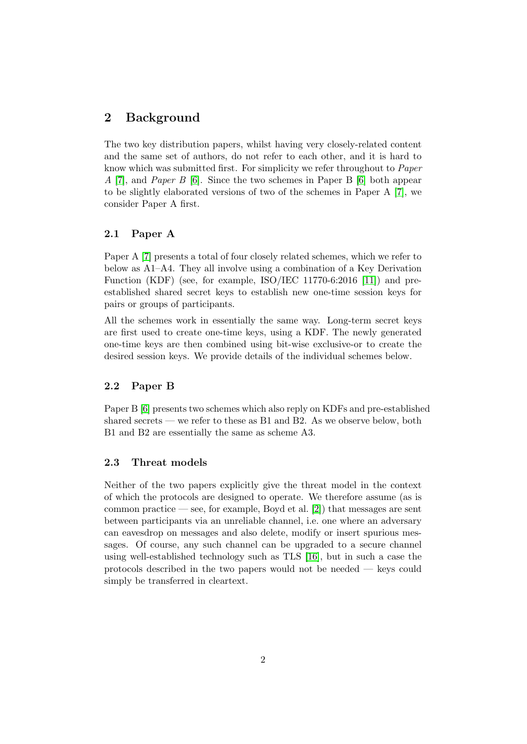# <span id="page-1-0"></span>2 Background

The two key distribution papers, whilst having very closely-related content and the same set of authors, do not refer to each other, and it is hard to know which was submitted first. For simplicity we refer throughout to Paper A [\[7\]](#page-16-1), and Paper B [\[6\]](#page-16-0). Since the two schemes in Paper B [\[6\]](#page-16-0) both appear to be slightly elaborated versions of two of the schemes in Paper A [\[7\]](#page-16-1), we consider Paper A first.

### 2.1 Paper A

Paper A [\[7\]](#page-16-1) presents a total of four closely related schemes, which we refer to below as A1–A4. They all involve using a combination of a Key Derivation Function (KDF) (see, for example, ISO/IEC 11770-6:2016 [\[11\]](#page-16-3)) and preestablished shared secret keys to establish new one-time session keys for pairs or groups of participants.

All the schemes work in essentially the same way. Long-term secret keys are first used to create one-time keys, using a KDF. The newly generated one-time keys are then combined using bit-wise exclusive-or to create the desired session keys. We provide details of the individual schemes below.

#### 2.2 Paper B

Paper B [\[6\]](#page-16-0) presents two schemes which also reply on KDFs and pre-established shared secrets — we refer to these as B1 and B2. As we observe below, both B1 and B2 are essentially the same as scheme A3.

### <span id="page-1-1"></span>2.3 Threat models

Neither of the two papers explicitly give the threat model in the context of which the protocols are designed to operate. We therefore assume (as is common practice — see, for example, Boyd et al.  $[2]$ ) that messages are sent between participants via an unreliable channel, i.e. one where an adversary can eavesdrop on messages and also delete, modify or insert spurious messages. Of course, any such channel can be upgraded to a secure channel using well-established technology such as TLS [\[16\]](#page-16-4), but in such a case the protocols described in the two papers would not be needed — keys could simply be transferred in cleartext.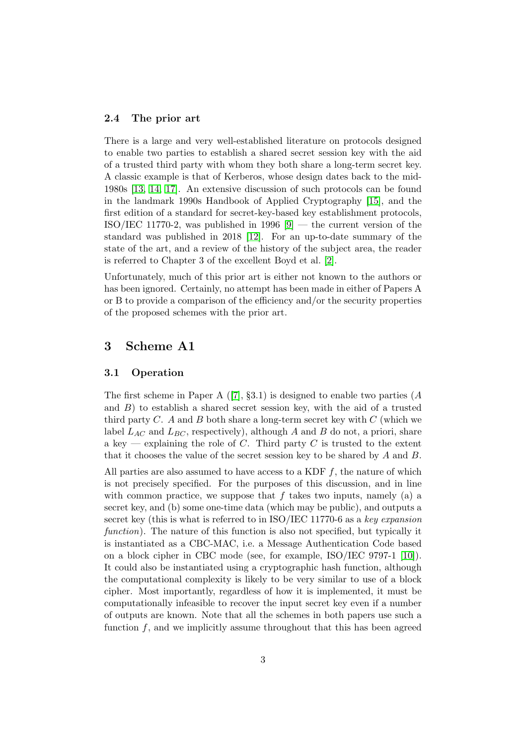#### 2.4 The prior art

There is a large and very well-established literature on protocols designed to enable two parties to establish a shared secret session key with the aid of a trusted third party with whom they both share a long-term secret key. A classic example is that of Kerberos, whose design dates back to the mid-1980s [\[13,](#page-16-5) [14,](#page-16-6) [17\]](#page-17-0). An extensive discussion of such protocols can be found in the landmark 1990s Handbook of Applied Cryptography [\[15\]](#page-16-7), and the first edition of a standard for secret-key-based key establishment protocols, ISO/IEC 11770-2, was published in 1996  $[9]$  — the current version of the standard was published in 2018 [\[12\]](#page-16-9). For an up-to-date summary of the state of the art, and a review of the history of the subject area, the reader is referred to Chapter 3 of the excellent Boyd et al. [\[2\]](#page-15-0).

Unfortunately, much of this prior art is either not known to the authors or has been ignored. Certainly, no attempt has been made in either of Papers A or B to provide a comparison of the efficiency and/or the security properties of the proposed schemes with the prior art.

# <span id="page-2-0"></span>3 Scheme A1

#### 3.1 Operation

The first scheme in Paper A  $([7], \S 3.1)$  $([7], \S 3.1)$  $([7], \S 3.1)$  is designed to enable two parties (A and  $B$ ) to establish a shared secret session key, with the aid of a trusted third party  $C$ . A and  $B$  both share a long-term secret key with  $C$  (which we label  $L_{AC}$  and  $L_{BC}$ , respectively), although A and B do not, a priori, share a key — explaining the role of C. Third party C is trusted to the extent that it chooses the value of the secret session key to be shared by  $A$  and  $B$ .

All parties are also assumed to have access to a KDF  $f$ , the nature of which is not precisely specified. For the purposes of this discussion, and in line with common practice, we suppose that  $f$  takes two inputs, namely (a) a secret key, and (b) some one-time data (which may be public), and outputs a secret key (this is what is referred to in ISO/IEC 11770-6 as a key expansion function). The nature of this function is also not specified, but typically it is instantiated as a CBC-MAC, i.e. a Message Authentication Code based on a block cipher in CBC mode (see, for example, ISO/IEC 9797-1 [\[10\]](#page-16-10)). It could also be instantiated using a cryptographic hash function, although the computational complexity is likely to be very similar to use of a block cipher. Most importantly, regardless of how it is implemented, it must be computationally infeasible to recover the input secret key even if a number of outputs are known. Note that all the schemes in both papers use such a function f, and we implicitly assume throughout that this has been agreed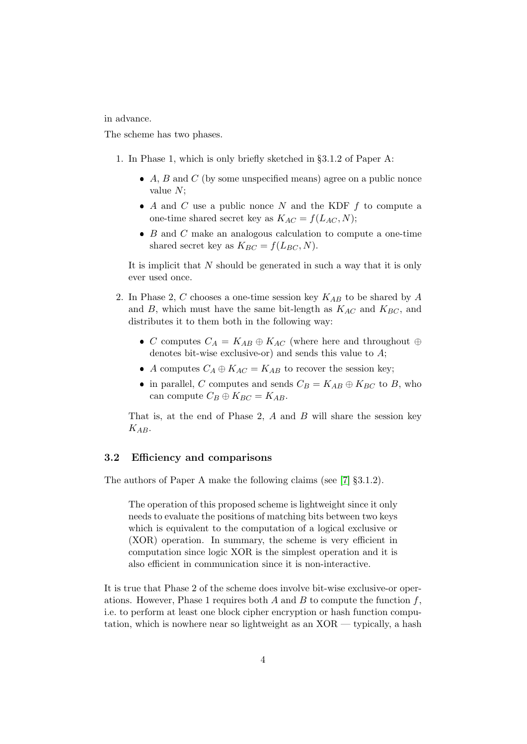in advance.

The scheme has two phases.

- 1. In Phase 1, which is only briefly sketched in §3.1.2 of Paper A:
	- $\bullet$  A, B and C (by some unspecified means) agree on a public nonce value N;
	- $\bullet$  A and C use a public nonce N and the KDF f to compute a one-time shared secret key as  $K_{AC} = f(L_{AC}, N);$
	- $\bullet$  B and C make an analogous calculation to compute a one-time shared secret key as  $K_{BC} = f(L_{BC}, N)$ .

It is implicit that  $N$  should be generated in such a way that it is only ever used once.

- 2. In Phase 2, C chooses a one-time session key  $K_{AB}$  to be shared by A and B, which must have the same bit-length as  $K_{AC}$  and  $K_{BC}$ , and distributes it to them both in the following way:
	- C computes  $C_A = K_{AB} \oplus K_{AC}$  (where here and throughout  $\oplus$ denotes bit-wise exclusive-or) and sends this value to  $A$ ;
	- A computes  $C_A \oplus K_{AC} = K_{AB}$  to recover the session key;
	- in parallel, C computes and sends  $C_B = K_{AB} \oplus K_{BC}$  to B, who can compute  $C_B \oplus K_{BC} = K_{AB}$ .

That is, at the end of Phase 2,  $A$  and  $B$  will share the session key  $K_{AB}$ .

#### 3.2 Efficiency and comparisons

The authors of Paper A make the following claims (see [\[7\]](#page-16-1) §3.1.2).

The operation of this proposed scheme is lightweight since it only needs to evaluate the positions of matching bits between two keys which is equivalent to the computation of a logical exclusive or (XOR) operation. In summary, the scheme is very efficient in computation since logic XOR is the simplest operation and it is also efficient in communication since it is non-interactive.

It is true that Phase 2 of the scheme does involve bit-wise exclusive-or operations. However, Phase 1 requires both A and B to compute the function  $f$ , i.e. to perform at least one block cipher encryption or hash function computation, which is nowhere near so lightweight as an XOR — typically, a hash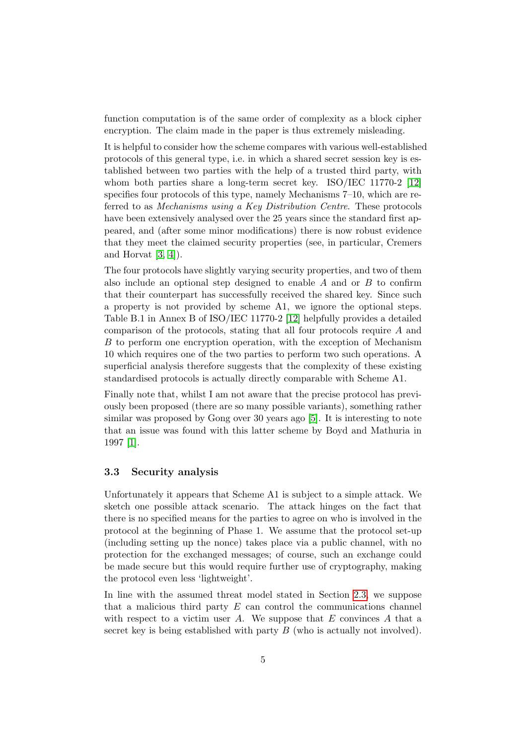function computation is of the same order of complexity as a block cipher encryption. The claim made in the paper is thus extremely misleading.

It is helpful to consider how the scheme compares with various well-established protocols of this general type, i.e. in which a shared secret session key is established between two parties with the help of a trusted third party, with whom both parties share a long-term secret key. ISO/IEC 11770-2 [\[12\]](#page-16-9) specifies four protocols of this type, namely Mechanisms 7–10, which are referred to as Mechanisms using a Key Distribution Centre. These protocols have been extensively analysed over the 25 years since the standard first appeared, and (after some minor modifications) there is now robust evidence that they meet the claimed security properties (see, in particular, Cremers and Horvat  $[3, 4]$  $[3, 4]$ .

The four protocols have slightly varying security properties, and two of them also include an optional step designed to enable  $A$  and or  $B$  to confirm that their counterpart has successfully received the shared key. Since such a property is not provided by scheme A1, we ignore the optional steps. Table B.1 in Annex B of ISO/IEC 11770-2 [\[12\]](#page-16-9) helpfully provides a detailed comparison of the protocols, stating that all four protocols require A and B to perform one encryption operation, with the exception of Mechanism 10 which requires one of the two parties to perform two such operations. A superficial analysis therefore suggests that the complexity of these existing standardised protocols is actually directly comparable with Scheme A1.

Finally note that, whilst I am not aware that the precise protocol has previously been proposed (there are so many possible variants), something rather similar was proposed by Gong over 30 years ago [\[5\]](#page-15-3). It is interesting to note that an issue was found with this latter scheme by Boyd and Mathuria in 1997 [\[1\]](#page-15-4).

#### 3.3 Security analysis

Unfortunately it appears that Scheme A1 is subject to a simple attack. We sketch one possible attack scenario. The attack hinges on the fact that there is no specified means for the parties to agree on who is involved in the protocol at the beginning of Phase 1. We assume that the protocol set-up (including setting up the nonce) takes place via a public channel, with no protection for the exchanged messages; of course, such an exchange could be made secure but this would require further use of cryptography, making the protocol even less 'lightweight'.

In line with the assumed threat model stated in Section [2.3,](#page-1-1) we suppose that a malicious third party  $E$  can control the communications channel with respect to a victim user  $A$ . We suppose that  $E$  convinces  $A$  that a secret key is being established with party  $B$  (who is actually not involved).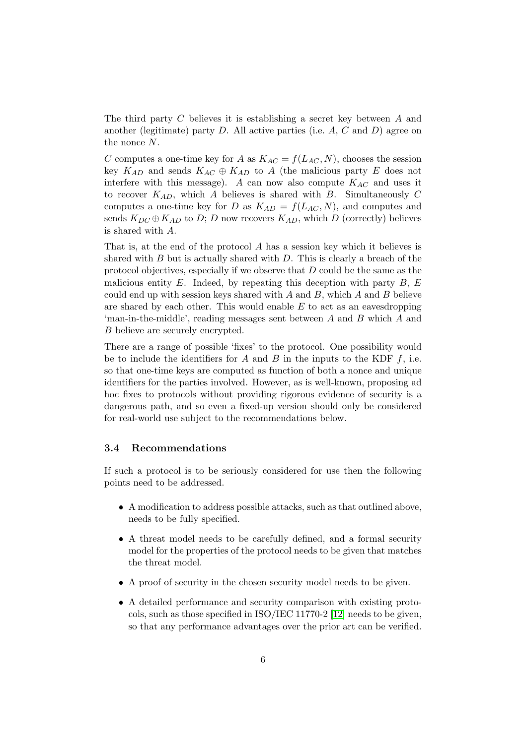The third party C believes it is establishing a secret key between A and another (legitimate) party  $D$ . All active parties (i.e.  $A, C$  and  $D$ ) agree on the nonce N.

C computes a one-time key for A as  $K_{AC} = f(L_{AC}, N)$ , chooses the session key  $K_{AD}$  and sends  $K_{AC} \oplus K_{AD}$  to A (the malicious party E does not interfere with this message). A can now also compute  $K_{AC}$  and uses it to recover  $K_{AD}$ , which A believes is shared with B. Simultaneously C computes a one-time key for D as  $K_{AD} = f(L_{AC}, N)$ , and computes and sends  $K_{DC} \oplus K_{AD}$  to D; D now recovers  $K_{AD}$ , which D (correctly) believes is shared with A.

That is, at the end of the protocol A has a session key which it believes is shared with  $B$  but is actually shared with  $D$ . This is clearly a breach of the protocol objectives, especially if we observe that D could be the same as the malicious entity  $E$ . Indeed, by repeating this deception with party  $B$ ,  $E$ could end up with session keys shared with  $A$  and  $B$ , which  $A$  and  $B$  believe are shared by each other. This would enable  $E$  to act as an eavesdropping 'man-in-the-middle', reading messages sent between A and B which A and B believe are securely encrypted.

There are a range of possible 'fixes' to the protocol. One possibility would be to include the identifiers for A and B in the inputs to the KDF  $f$ , i.e. so that one-time keys are computed as function of both a nonce and unique identifiers for the parties involved. However, as is well-known, proposing ad hoc fixes to protocols without providing rigorous evidence of security is a dangerous path, and so even a fixed-up version should only be considered for real-world use subject to the recommendations below.

#### 3.4 Recommendations

If such a protocol is to be seriously considered for use then the following points need to be addressed.

- A modification to address possible attacks, such as that outlined above, needs to be fully specified.
- A threat model needs to be carefully defined, and a formal security model for the properties of the protocol needs to be given that matches the threat model.
- A proof of security in the chosen security model needs to be given.
- A detailed performance and security comparison with existing protocols, such as those specified in  $ISO/IEC 11770-2 [12]$  $ISO/IEC 11770-2 [12]$  needs to be given, so that any performance advantages over the prior art can be verified.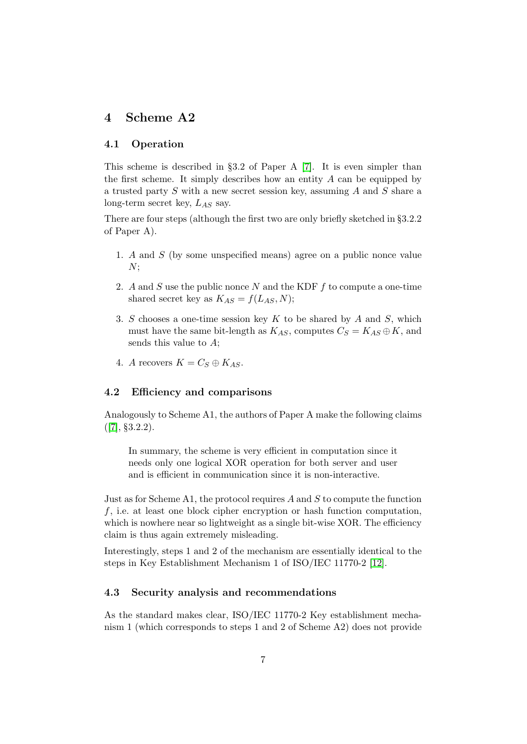# <span id="page-6-0"></span>4 Scheme A2

#### 4.1 Operation

This scheme is described in §3.2 of Paper A [\[7\]](#page-16-1). It is even simpler than the first scheme. It simply describes how an entity  $A$  can be equipped by a trusted party S with a new secret session key, assuming A and S share a long-term secret key,  $L_{AS}$  say.

There are four steps (although the first two are only briefly sketched in §3.2.2 of Paper A).

- 1. A and S (by some unspecified means) agree on a public nonce value  $N:$
- 2. A and S use the public nonce N and the KDF f to compute a one-time shared secret key as  $K_{AS} = f(L_{AS}, N);$
- 3. S chooses a one-time session key  $K$  to be shared by  $A$  and  $S$ , which must have the same bit-length as  $K_{AS}$ , computes  $C_S = K_{AS} \oplus K$ , and sends this value to A;
- 4. A recovers  $K = C_S \oplus K_{AS}$ .

### 4.2 Efficiency and comparisons

Analogously to Scheme A1, the authors of Paper A make the following claims  $([7], \S3.2.2).$  $([7], \S3.2.2).$  $([7], \S3.2.2).$ 

In summary, the scheme is very efficient in computation since it needs only one logical XOR operation for both server and user and is efficient in communication since it is non-interactive.

Just as for Scheme A1, the protocol requires  $A$  and  $S$  to compute the function f, i.e. at least one block cipher encryption or hash function computation, which is nowhere near so lightweight as a single bit-wise XOR. The efficiency claim is thus again extremely misleading.

Interestingly, steps 1 and 2 of the mechanism are essentially identical to the steps in Key Establishment Mechanism 1 of ISO/IEC 11770-2 [\[12\]](#page-16-9).

#### 4.3 Security analysis and recommendations

As the standard makes clear, ISO/IEC 11770-2 Key establishment mechanism 1 (which corresponds to steps 1 and 2 of Scheme A2) does not provide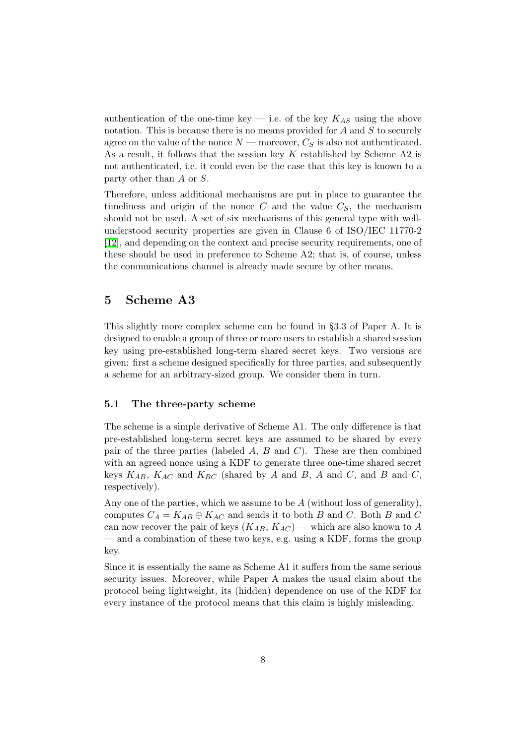authentication of the one-time key — i.e. of the key  $K_{AS}$  using the above notation. This is because there is no means provided for  $A$  and  $S$  to securely agree on the value of the nonce  $N$  — moreover,  $C_S$  is also not authenticated. As a result, it follows that the session key  $K$  established by Scheme A2 is not authenticated, i.e. it could even be the case that this key is known to a party other than A or S.

Therefore, unless additional mechanisms are put in place to guarantee the timeliness and origin of the nonce  $C$  and the value  $C<sub>S</sub>$ , the mechanism should not be used. A set of six mechanisms of this general type with wellunderstood security properties are given in Clause 6 of ISO/IEC 11770-2 [\[12\]](#page-16-9), and depending on the context and precise security requirements, one of these should be used in preference to Scheme A2; that is, of course, unless the communications channel is already made secure by other means.

### <span id="page-7-0"></span>5 Scheme A3

This slightly more complex scheme can be found in §3.3 of Paper A. It is designed to enable a group of three or more users to establish a shared session key using pre-established long-term shared secret keys. Two versions are given: first a scheme designed specifically for three parties, and subsequently a scheme for an arbitrary-sized group. We consider them in turn.

#### 5.1 The three-party scheme

The scheme is a simple derivative of Scheme A1. The only difference is that pre-established long-term secret keys are assumed to be shared by every pair of the three parties (labeled A, B and C). These are then combined with an agreed nonce using a KDF to generate three one-time shared secret keys  $K_{AB}$ ,  $K_{AC}$  and  $K_{BC}$  (shared by A and B, A and C, and B and C, respectively).

Any one of the parties, which we assume to be  $A$  (without loss of generality), computes  $C_A = K_{AB} \oplus K_{AC}$  and sends it to both B and C. Both B and C can now recover the pair of keys  $(K_{AB}, K_{AC})$  — which are also known to A — and a combination of these two keys, e.g. using a KDF, forms the group key.

Since it is essentially the same as Scheme A1 it suffers from the same serious security issues. Moreover, while Paper A makes the usual claim about the protocol being lightweight, its (hidden) dependence on use of the KDF for every instance of the protocol means that this claim is highly misleading.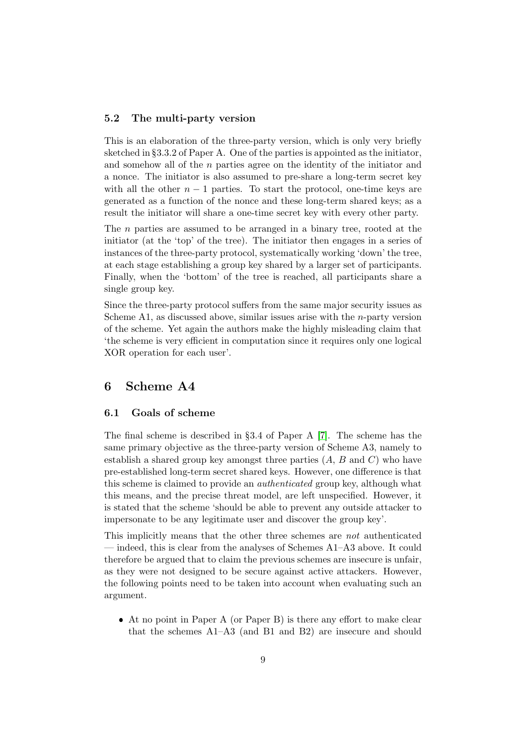#### 5.2 The multi-party version

This is an elaboration of the three-party version, which is only very briefly sketched in §3.3.2 of Paper A. One of the parties is appointed as the initiator, and somehow all of the n parties agree on the identity of the initiator and a nonce. The initiator is also assumed to pre-share a long-term secret key with all the other  $n-1$  parties. To start the protocol, one-time keys are generated as a function of the nonce and these long-term shared keys; as a result the initiator will share a one-time secret key with every other party.

The n parties are assumed to be arranged in a binary tree, rooted at the initiator (at the 'top' of the tree). The initiator then engages in a series of instances of the three-party protocol, systematically working 'down' the tree, at each stage establishing a group key shared by a larger set of participants. Finally, when the 'bottom' of the tree is reached, all participants share a single group key.

Since the three-party protocol suffers from the same major security issues as Scheme A1, as discussed above, similar issues arise with the *n*-party version of the scheme. Yet again the authors make the highly misleading claim that 'the scheme is very efficient in computation since it requires only one logical XOR operation for each user'.

# <span id="page-8-0"></span>6 Scheme A4

#### 6.1 Goals of scheme

The final scheme is described in §3.4 of Paper A [\[7\]](#page-16-1). The scheme has the same primary objective as the three-party version of Scheme A3, namely to establish a shared group key amongst three parties  $(A, B, A)$  and  $C)$  who have pre-established long-term secret shared keys. However, one difference is that this scheme is claimed to provide an authenticated group key, although what this means, and the precise threat model, are left unspecified. However, it is stated that the scheme 'should be able to prevent any outside attacker to impersonate to be any legitimate user and discover the group key'.

This implicitly means that the other three schemes are not authenticated — indeed, this is clear from the analyses of Schemes A1–A3 above. It could therefore be argued that to claim the previous schemes are insecure is unfair, as they were not designed to be secure against active attackers. However, the following points need to be taken into account when evaluating such an argument.

 At no point in Paper A (or Paper B) is there any effort to make clear that the schemes A1–A3 (and B1 and B2) are insecure and should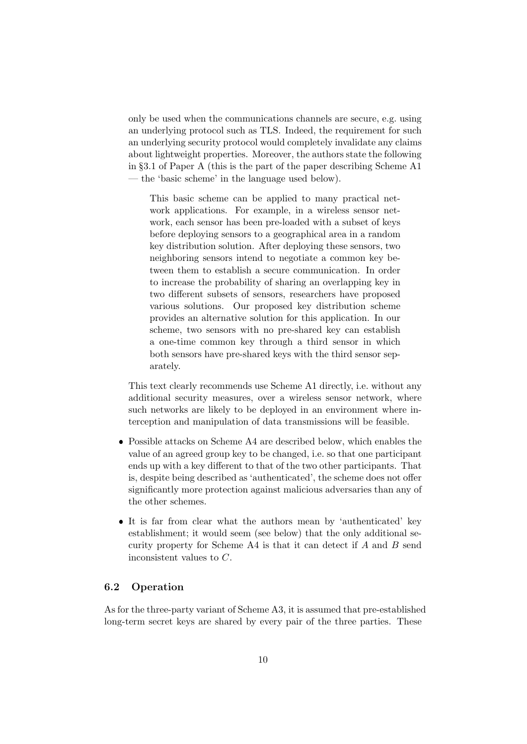only be used when the communications channels are secure, e.g. using an underlying protocol such as TLS. Indeed, the requirement for such an underlying security protocol would completely invalidate any claims about lightweight properties. Moreover, the authors state the following in §3.1 of Paper A (this is the part of the paper describing Scheme A1 — the 'basic scheme' in the language used below).

This basic scheme can be applied to many practical network applications. For example, in a wireless sensor network, each sensor has been pre-loaded with a subset of keys before deploying sensors to a geographical area in a random key distribution solution. After deploying these sensors, two neighboring sensors intend to negotiate a common key between them to establish a secure communication. In order to increase the probability of sharing an overlapping key in two different subsets of sensors, researchers have proposed various solutions. Our proposed key distribution scheme provides an alternative solution for this application. In our scheme, two sensors with no pre-shared key can establish a one-time common key through a third sensor in which both sensors have pre-shared keys with the third sensor separately.

This text clearly recommends use Scheme A1 directly, i.e. without any additional security measures, over a wireless sensor network, where such networks are likely to be deployed in an environment where interception and manipulation of data transmissions will be feasible.

- Possible attacks on Scheme A4 are described below, which enables the value of an agreed group key to be changed, i.e. so that one participant ends up with a key different to that of the two other participants. That is, despite being described as 'authenticated', the scheme does not offer significantly more protection against malicious adversaries than any of the other schemes.
- It is far from clear what the authors mean by 'authenticated' key establishment; it would seem (see below) that the only additional security property for Scheme A4 is that it can detect if A and B send inconsistent values to C.

#### 6.2 Operation

As for the three-party variant of Scheme A3, it is assumed that pre-established long-term secret keys are shared by every pair of the three parties. These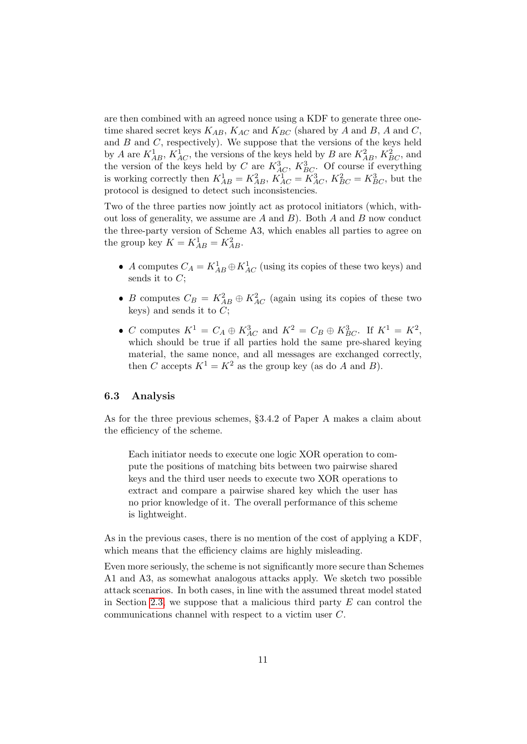are then combined with an agreed nonce using a KDF to generate three onetime shared secret keys  $K_{AB}$ ,  $K_{AC}$  and  $K_{BC}$  (shared by A and B, A and C, and  $B$  and  $C$ , respectively). We suppose that the versions of the keys held by A are  $K_{AB}^1$ ,  $K_{AC}^1$ , the versions of the keys held by B are  $K_{AB}^2$ ,  $K_{BC}^2$ , and the version of the keys held by C are  $K_{AC}^3$ ,  $K_{BC}^3$ . Of course if everything is working correctly then  $K_{AB}^1 = K_{AB}^2$ ,  $K_{AC}^1 = K_{AC}^3$ ,  $K_{BC}^2 = K_{BC}^3$ , but the protocol is designed to detect such inconsistencies.

Two of the three parties now jointly act as protocol initiators (which, without loss of generality, we assume are  $A$  and  $B$ ). Both  $A$  and  $B$  now conduct the three-party version of Scheme A3, which enables all parties to agree on the group key  $K = K_{AB}^1 = K_{AB}^2$ .

- A computes  $C_A = K_{AB}^1 \oplus K_{AC}^1$  (using its copies of these two keys) and sends it to  $C$ :
- B computes  $C_B = K_{AB}^2 \oplus K_{AC}^2$  (again using its copies of these two keys) and sends it to  $C$ ;
- C computes  $K^1 = C_A \oplus K_{AC}^3$  and  $K^2 = C_B \oplus K_{BC}^3$ . If  $K^1 = K^2$ , which should be true if all parties hold the same pre-shared keying material, the same nonce, and all messages are exchanged correctly, then C accepts  $K^1 = K^2$  as the group key (as do A and B).

#### 6.3 Analysis

As for the three previous schemes, §3.4.2 of Paper A makes a claim about the efficiency of the scheme.

Each initiator needs to execute one logic XOR operation to compute the positions of matching bits between two pairwise shared keys and the third user needs to execute two XOR operations to extract and compare a pairwise shared key which the user has no prior knowledge of it. The overall performance of this scheme is lightweight.

As in the previous cases, there is no mention of the cost of applying a KDF, which means that the efficiency claims are highly misleading.

Even more seriously, the scheme is not significantly more secure than Schemes A1 and A3, as somewhat analogous attacks apply. We sketch two possible attack scenarios. In both cases, in line with the assumed threat model stated in Section [2.3,](#page-1-1) we suppose that a malicious third party  $E$  can control the communications channel with respect to a victim user C.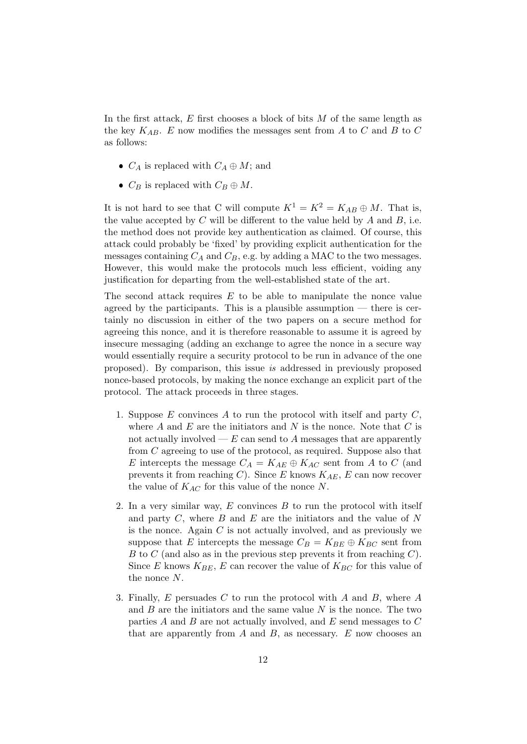In the first attack,  $E$  first chooses a block of bits  $M$  of the same length as the key  $K_{AB}$ . E now modifies the messages sent from A to C and B to C as follows:

- $C_A$  is replaced with  $C_A \oplus M$ ; and
- $C_B$  is replaced with  $C_B \oplus M$ .

It is not hard to see that C will compute  $K^1 = K^2 = K_{AB} \oplus M$ . That is, the value accepted by  $C$  will be different to the value held by  $A$  and  $B$ , i.e. the method does not provide key authentication as claimed. Of course, this attack could probably be 'fixed' by providing explicit authentication for the messages containing  $C_A$  and  $C_B$ , e.g. by adding a MAC to the two messages. However, this would make the protocols much less efficient, voiding any justification for departing from the well-established state of the art.

The second attack requires E to be able to manipulate the nonce value agreed by the participants. This is a plausible assumption — there is certainly no discussion in either of the two papers on a secure method for agreeing this nonce, and it is therefore reasonable to assume it is agreed by insecure messaging (adding an exchange to agree the nonce in a secure way would essentially require a security protocol to be run in advance of the one proposed). By comparison, this issue is addressed in previously proposed nonce-based protocols, by making the nonce exchange an explicit part of the protocol. The attack proceeds in three stages.

- 1. Suppose  $E$  convinces  $A$  to run the protocol with itself and party  $C$ , where  $A$  and  $E$  are the initiators and  $N$  is the nonce. Note that  $C$  is not actually involved  $E$  can send to A messages that are apparently from C agreeing to use of the protocol, as required. Suppose also that E intercepts the message  $C_A = K_{AE} \oplus K_{AC}$  sent from A to C (and prevents it from reaching C). Since E knows  $K_{AE}$ , E can now recover the value of  $K_{AC}$  for this value of the nonce N.
- 2. In a very similar way,  $E$  convinces  $B$  to run the protocol with itself and party  $C$ , where  $B$  and  $E$  are the initiators and the value of  $N$ is the nonce. Again  $C$  is not actually involved, and as previously we suppose that E intercepts the message  $C_B = K_{BE} \oplus K_{BC}$  sent from B to C (and also as in the previous step prevents it from reaching  $C$ ). Since E knows  $K_{BE}$ , E can recover the value of  $K_{BC}$  for this value of the nonce N.
- 3. Finally, E persuades C to run the protocol with A and B, where A and  $B$  are the initiators and the same value  $N$  is the nonce. The two parties  $A$  and  $B$  are not actually involved, and  $E$  send messages to  $C$ that are apparently from  $A$  and  $B$ , as necessary.  $E$  now chooses an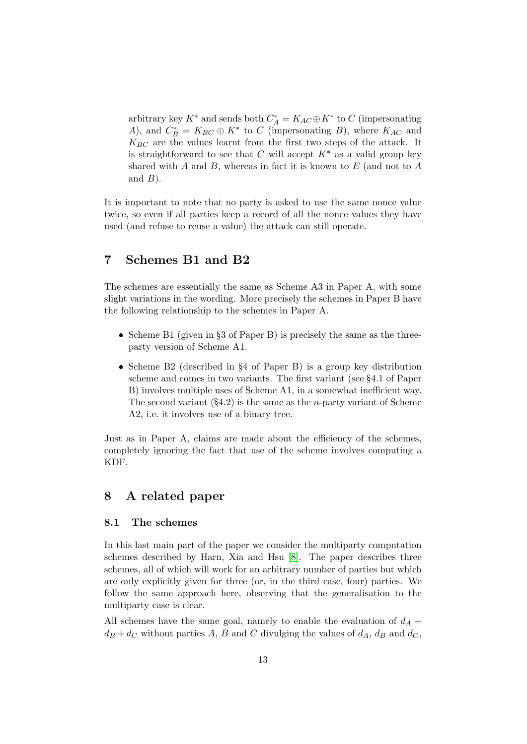arbitrary key $K^*$  and sends both  $C^*_A=K_{AC} \oplus K^*$  to  $C$  (impersonating A), and  $C_B^* = K_{BC} \oplus K^*$  to C (impersonating B), where  $K_{AC}$  and  $K_{BC}$  are the values learnt from the first two steps of the attack. It is straightforward to see that C will accept  $K^*$  as a valid group key shared with A and B, whereas in fact it is known to  $E$  (and not to A and  $B$ ).

It is important to note that no party is asked to use the same nonce value twice, so even if all parties keep a record of all the nonce values they have used (and refuse to reuse a value) the attack can still operate.

# <span id="page-12-0"></span>7 Schemes B1 and B2

The schemes are essentially the same as Scheme A3 in Paper A, with some slight variations in the wording. More precisely the schemes in Paper B have the following relationship to the schemes in Paper A.

- Scheme B1 (given in  $\S3$  of Paper B) is precisely the same as the threeparty version of Scheme A1.
- Scheme B2 (described in  $\S 4$  of Paper B) is a group key distribution scheme and comes in two variants. The first variant (see §4.1 of Paper B) involves multiple uses of Scheme A1, in a somewhat inefficient way. The second variant  $(\S4.2)$  is the same as the *n*-party variant of Scheme A2, i.e. it involves use of a binary tree.

Just as in Paper A, claims are made about the efficiency of the schemes, completely ignoring the fact that use of the scheme involves computing a KDF.

### <span id="page-12-1"></span>8 A related paper

#### 8.1 The schemes

In this last main part of the paper we consider the multiparty computation schemes described by Harn, Xia and Hsu [\[8\]](#page-16-2). The paper describes three schemes, all of which will work for an arbitrary number of parties but which are only explicitly given for three (or, in the third case, four) parties. We follow the same approach here, observing that the generalisation to the multiparty case is clear.

All schemes have the same goal, namely to enable the evaluation of  $d_A$  +  $d_B + d_C$  without parties A, B and C divulging the values of  $d_A$ ,  $d_B$  and  $d_C$ ,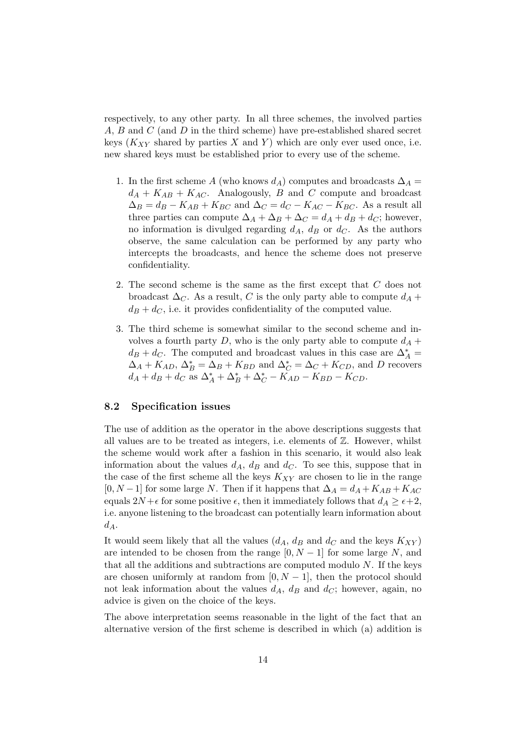respectively, to any other party. In all three schemes, the involved parties A, B and C (and D in the third scheme) have pre-established shared secret keys  $(K_{XY}$  shared by parties X and Y) which are only ever used once, i.e. new shared keys must be established prior to every use of the scheme.

- 1. In the first scheme A (who knows  $d_A$ ) computes and broadcasts  $\Delta_A =$  $d_A + K_{AB} + K_{AC}$ . Analogously, B and C compute and broadcast  $\Delta_B = d_B - K_{AB} + K_{BC}$  and  $\Delta_C = d_C - K_{AC} - K_{BC}$ . As a result all three parties can compute  $\Delta_A + \Delta_B + \Delta_C = d_A + d_B + d_C$ ; however, no information is divulged regarding  $d_A$ ,  $d_B$  or  $d_C$ . As the authors observe, the same calculation can be performed by any party who intercepts the broadcasts, and hence the scheme does not preserve confidentiality.
- 2. The second scheme is the same as the first except that C does not broadcast  $\Delta_C$ . As a result, C is the only party able to compute  $d_A$  +  $d_B + d_C$ , i.e. it provides confidentiality of the computed value.
- 3. The third scheme is somewhat similar to the second scheme and involves a fourth party  $D$ , who is the only party able to compute  $d_A$  +  $d_B + d_C$ . The computed and broadcast values in this case are  $\Delta_A^* =$  $\Delta_A + K_{AD}, \Delta_B^* = \Delta_B + K_{BD}$  and  $\Delta_C^* = \Delta_C + K_{CD}$ , and D recovers  $d_A + d_B + d_C$  as  $\Delta_A^* + \Delta_B^* + \Delta_C^* - K_{AD} - K_{BD} - K_{CD}$ .

#### 8.2 Specification issues

The use of addition as the operator in the above descriptions suggests that all values are to be treated as integers, i.e. elements of  $\mathbb{Z}$ . However, whilst the scheme would work after a fashion in this scenario, it would also leak information about the values  $d_A$ ,  $d_B$  and  $d_C$ . To see this, suppose that in the case of the first scheme all the keys  $K_{XY}$  are chosen to lie in the range  $[0, N-1]$  for some large N. Then if it happens that  $\Delta_A = d_A + K_{AB} + K_{AC}$ equals  $2N + \epsilon$  for some positive  $\epsilon$ , then it immediately follows that  $d_A \geq \epsilon + 2$ , i.e. anyone listening to the broadcast can potentially learn information about  $d_A$ .

It would seem likely that all the values  $(d_A, d_B \text{ and } d_C \text{ and the keys } K_{XY})$ are intended to be chosen from the range  $[0, N-1]$  for some large N, and that all the additions and subtractions are computed modulo  $N$ . If the keys are chosen uniformly at random from  $[0, N - 1]$ , then the protocol should not leak information about the values  $d_A$ ,  $d_B$  and  $d_C$ ; however, again, no advice is given on the choice of the keys.

The above interpretation seems reasonable in the light of the fact that an alternative version of the first scheme is described in which (a) addition is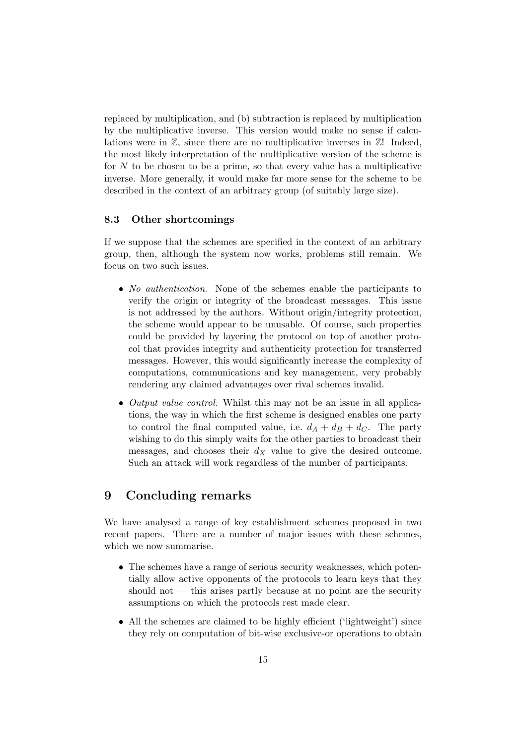replaced by multiplication, and (b) subtraction is replaced by multiplication by the multiplicative inverse. This version would make no sense if calculations were in  $\mathbb{Z}$ , since there are no multiplicative inverses in  $\mathbb{Z}!$  Indeed, the most likely interpretation of the multiplicative version of the scheme is for  $N$  to be chosen to be a prime, so that every value has a multiplicative inverse. More generally, it would make far more sense for the scheme to be described in the context of an arbitrary group (of suitably large size).

#### 8.3 Other shortcomings

If we suppose that the schemes are specified in the context of an arbitrary group, then, although the system now works, problems still remain. We focus on two such issues.

- No authentication. None of the schemes enable the participants to verify the origin or integrity of the broadcast messages. This issue is not addressed by the authors. Without origin/integrity protection, the scheme would appear to be unusable. Of course, such properties could be provided by layering the protocol on top of another protocol that provides integrity and authenticity protection for transferred messages. However, this would significantly increase the complexity of computations, communications and key management, very probably rendering any claimed advantages over rival schemes invalid.
- $\bullet$  *Output value control.* Whilst this may not be an issue in all applications, the way in which the first scheme is designed enables one party to control the final computed value, i.e.  $d_A + d_B + d_C$ . The party wishing to do this simply waits for the other parties to broadcast their messages, and chooses their  $d_X$  value to give the desired outcome. Such an attack will work regardless of the number of participants.

### <span id="page-14-0"></span>9 Concluding remarks

We have analysed a range of key establishment schemes proposed in two recent papers. There are a number of major issues with these schemes, which we now summarise.

- The schemes have a range of serious security weaknesses, which potentially allow active opponents of the protocols to learn keys that they should not  $-$  this arises partly because at no point are the security assumptions on which the protocols rest made clear.
- All the schemes are claimed to be highly efficient ('lightweight') since they rely on computation of bit-wise exclusive-or operations to obtain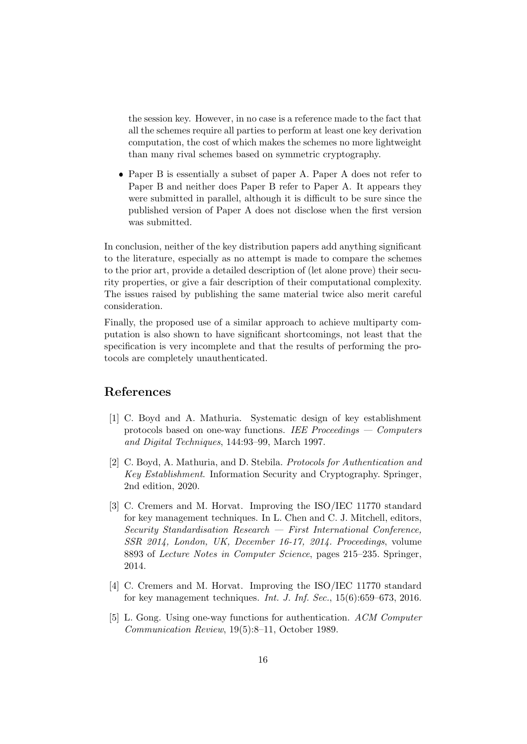the session key. However, in no case is a reference made to the fact that all the schemes require all parties to perform at least one key derivation computation, the cost of which makes the schemes no more lightweight than many rival schemes based on symmetric cryptography.

 Paper B is essentially a subset of paper A. Paper A does not refer to Paper B and neither does Paper B refer to Paper A. It appears they were submitted in parallel, although it is difficult to be sure since the published version of Paper A does not disclose when the first version was submitted.

In conclusion, neither of the key distribution papers add anything significant to the literature, especially as no attempt is made to compare the schemes to the prior art, provide a detailed description of (let alone prove) their security properties, or give a fair description of their computational complexity. The issues raised by publishing the same material twice also merit careful consideration.

Finally, the proposed use of a similar approach to achieve multiparty computation is also shown to have significant shortcomings, not least that the specification is very incomplete and that the results of performing the protocols are completely unauthenticated.

# References

- <span id="page-15-4"></span>[1] C. Boyd and A. Mathuria. Systematic design of key establishment protocols based on one-way functions. IEE Proceedings — Computers and Digital Techniques, 144:93–99, March 1997.
- <span id="page-15-0"></span>[2] C. Boyd, A. Mathuria, and D. Stebila. Protocols for Authentication and Key Establishment. Information Security and Cryptography. Springer, 2nd edition, 2020.
- <span id="page-15-1"></span>[3] C. Cremers and M. Horvat. Improving the ISO/IEC 11770 standard for key management techniques. In L. Chen and C. J. Mitchell, editors, Security Standardisation Research — First International Conference, SSR 2014, London, UK, December 16-17, 2014. Proceedings, volume 8893 of Lecture Notes in Computer Science, pages 215–235. Springer, 2014.
- <span id="page-15-2"></span>[4] C. Cremers and M. Horvat. Improving the ISO/IEC 11770 standard for key management techniques. Int. J. Inf. Sec.,  $15(6):659-673$ ,  $2016$ .
- <span id="page-15-3"></span>[5] L. Gong. Using one-way functions for authentication. ACM Computer Communication Review, 19(5):8–11, October 1989.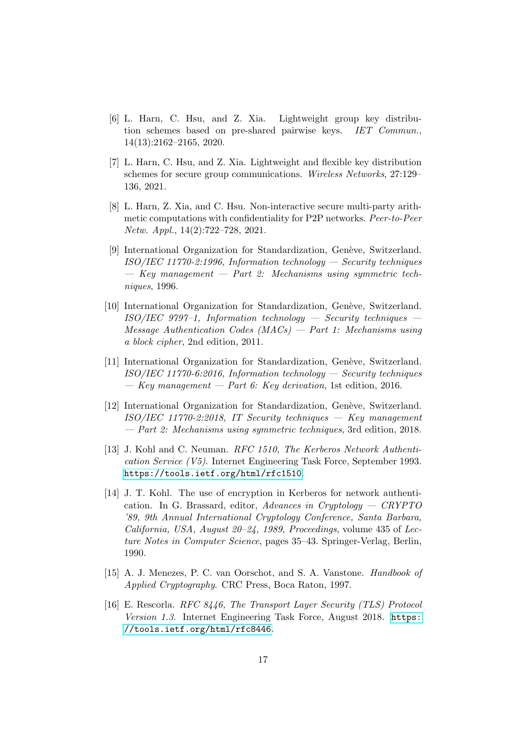- <span id="page-16-0"></span>[6] L. Harn, C. Hsu, and Z. Xia. Lightweight group key distribution schemes based on pre-shared pairwise keys. IET Commun., 14(13):2162–2165, 2020.
- <span id="page-16-1"></span>[7] L. Harn, C. Hsu, and Z. Xia. Lightweight and flexible key distribution schemes for secure group communications. Wireless Networks, 27:129– 136, 2021.
- <span id="page-16-2"></span>[8] L. Harn, Z. Xia, and C. Hsu. Non-interactive secure multi-party arithmetic computations with confidentiality for P2P networks. Peer-to-Peer Netw. Appl., 14(2):722–728, 2021.
- <span id="page-16-8"></span>[9] International Organization for Standardization, Genève, Switzerland.  $ISO/IEC 11770-2:1996$ , Information technology — Security techniques  $-$  Key management  $-$  Part 2: Mechanisms using symmetric techniques, 1996.
- <span id="page-16-10"></span>[10] International Organization for Standardization, Genève, Switzerland.  $ISO/IEC$  9797-1, Information technology — Security techniques  $Message$  Authentication Codes  $(MACs)$  – Part 1: Mechanisms using a block cipher, 2nd edition, 2011.
- <span id="page-16-3"></span>[11] International Organization for Standardization, Genève, Switzerland.  $ISO/IEC 11770-6:2016$ , Information technology — Security techniques  $-$  Key management  $-$  Part 6: Key derivation, 1st edition, 2016.
- <span id="page-16-9"></span>[12] International Organization for Standardization, Genève, Switzerland.  $ISO/IEC$  11770-2:2018, IT Security techniques  $-$  Key management — Part 2: Mechanisms using symmetric techniques, 3rd edition, 2018.
- <span id="page-16-5"></span>[13] J. Kohl and C. Neuman. RFC 1510, The Kerberos Network Authentication Service (V5). Internet Engineering Task Force, September 1993. <https://tools.ietf.org/html/rfc1510>.
- <span id="page-16-6"></span>[14] J. T. Kohl. The use of encryption in Kerberos for network authentication. In G. Brassard, editor, Advances in Cryptology —  $CRYPTO$ '89, 9th Annual International Cryptology Conference, Santa Barbara, California, USA, August 20–24, 1989, Proceedings, volume 435 of Lecture Notes in Computer Science, pages 35–43. Springer-Verlag, Berlin, 1990.
- <span id="page-16-7"></span>[15] A. J. Menezes, P. C. van Oorschot, and S. A. Vanstone. Handbook of Applied Cryptography. CRC Press, Boca Raton, 1997.
- <span id="page-16-4"></span>[16] E. Rescorla. RFC 8446, The Transport Layer Security (TLS) Protocol Version 1.3. Internet Engineering Task Force, August 2018. [https:](https://tools.ietf.org/html/rfc8446) [//tools.ietf.org/html/rfc8446](https://tools.ietf.org/html/rfc8446).